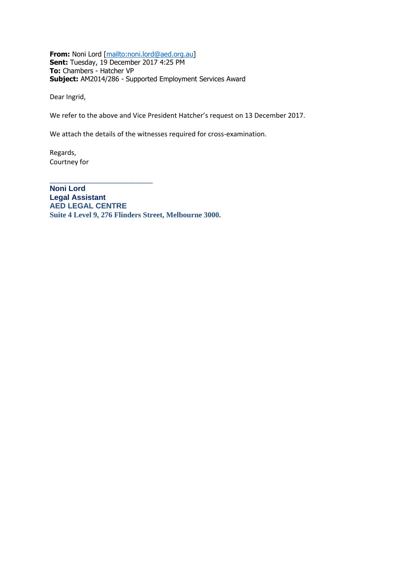**From:** Noni Lord [\[mailto:noni.lord@aed.org.au\]](mailto:noni.lord@aed.org.au) **Sent:** Tuesday, 19 December 2017 4:25 PM **To:** Chambers - Hatcher VP **Subject:** AM2014/286 - Supported Employment Services Award

Dear Ingrid,

We refer to the above and Vice President Hatcher's request on 13 December 2017.

We attach the details of the witnesses required for cross-examination.

Regards, Courtney for

\_\_\_\_\_\_\_\_\_\_\_\_\_\_\_\_\_\_\_\_\_\_\_\_\_\_\_\_\_\_

**Noni Lord Legal Assistant AED LEGAL CENTRE Suite 4 Level 9, 276 Flinders Street, Melbourne 3000.**